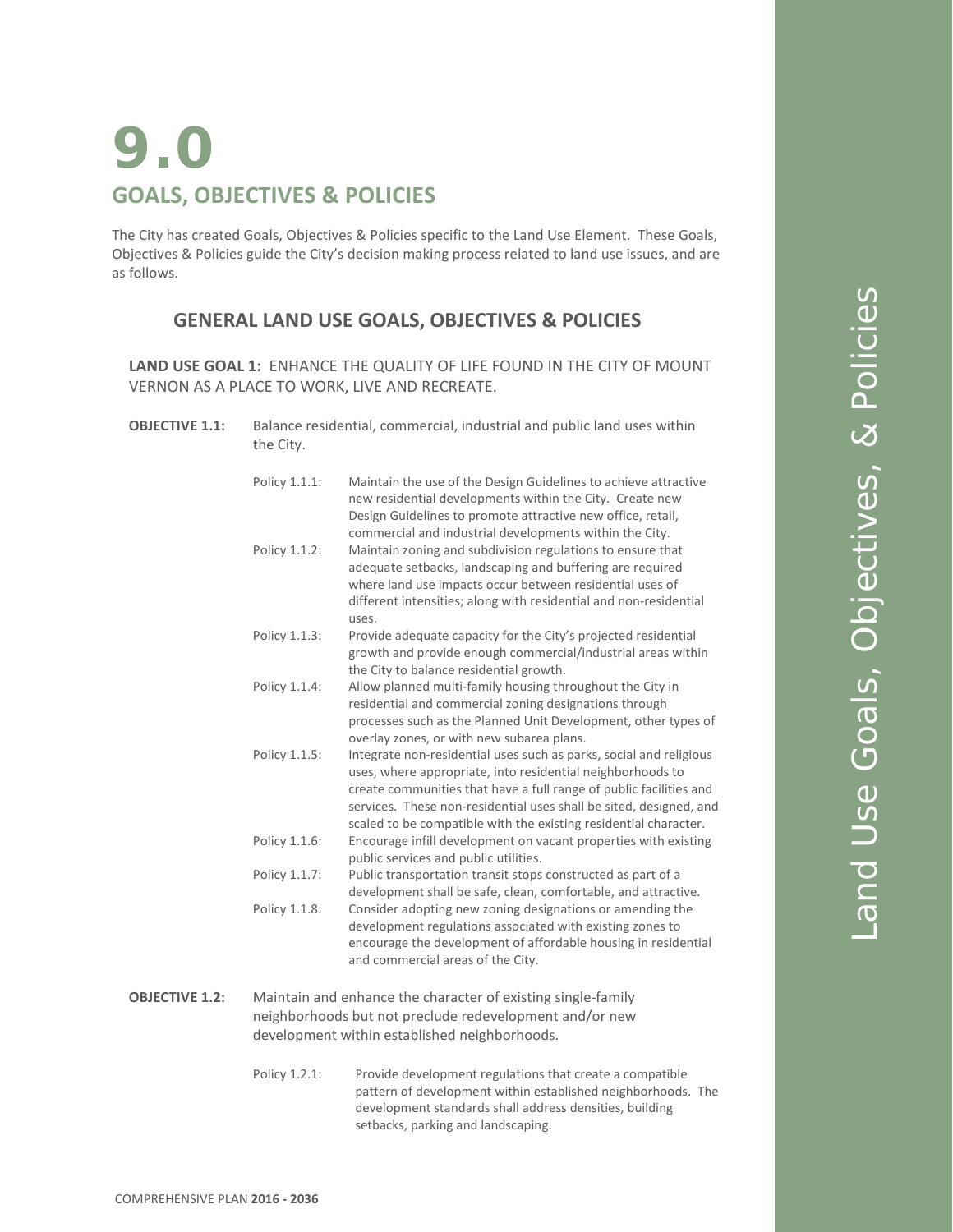# **9.0 GOALS, OBJECTIVES & POLICIES**

The City has created Goals, Objectives & Policies specific to the Land Use Element. These Goals, Objectives & Policies guide the City's decision making process related to land use issues, and are as follows.

## **GENERAL LAND USE GOALS, OBJECTIVES & POLICIES**

**LAND USE GOAL 1:** ENHANCE THE QUALITY OF LIFE FOUND IN THE CITY OF MOUNT VERNON AS A PLACE TO WORK, LIVE AND RECREATE.

**OBJECTIVE 1.1:** Balance residential, commercial, industrial and public land uses within the City.

| Policy 1.1.1: | Maintain the use of the Design Guidelines to achieve attractive<br>new residential developments within the City. Create new<br>Design Guidelines to promote attractive new office, retail,<br>commercial and industrial developments within the City.                                                                                            |
|---------------|--------------------------------------------------------------------------------------------------------------------------------------------------------------------------------------------------------------------------------------------------------------------------------------------------------------------------------------------------|
| Policy 1.1.2: | Maintain zoning and subdivision regulations to ensure that<br>adequate setbacks, landscaping and buffering are required<br>where land use impacts occur between residential uses of<br>different intensities; along with residential and non-residential<br>uses.                                                                                |
| Policy 1.1.3: | Provide adequate capacity for the City's projected residential<br>growth and provide enough commercial/industrial areas within<br>the City to balance residential growth.                                                                                                                                                                        |
| Policy 1.1.4: | Allow planned multi-family housing throughout the City in<br>residential and commercial zoning designations through<br>processes such as the Planned Unit Development, other types of<br>overlay zones, or with new subarea plans.                                                                                                               |
| Policy 1.1.5: | Integrate non-residential uses such as parks, social and religious<br>uses, where appropriate, into residential neighborhoods to<br>create communities that have a full range of public facilities and<br>services. These non-residential uses shall be sited, designed, and<br>scaled to be compatible with the existing residential character. |
| Policy 1.1.6: | Encourage infill development on vacant properties with existing<br>public services and public utilities.                                                                                                                                                                                                                                         |
| Policy 1.1.7: | Public transportation transit stops constructed as part of a<br>development shall be safe, clean, comfortable, and attractive.                                                                                                                                                                                                                   |
| Policy 1.1.8: | Consider adopting new zoning designations or amending the<br>development regulations associated with existing zones to<br>encourage the development of affordable housing in residential<br>and commercial areas of the City.                                                                                                                    |
|               | Maintain and ophance the character of ovicting single family                                                                                                                                                                                                                                                                                     |

- **OBJECTIVE 1.2:** Maintain and enhance the character of existing single-family neighborhoods but not preclude redevelopment and/or new development within established neighborhoods.
	- Policy 1.2.1: Provide development regulations that create a compatible pattern of development within established neighborhoods. The development standards shall address densities, building setbacks, parking and landscaping.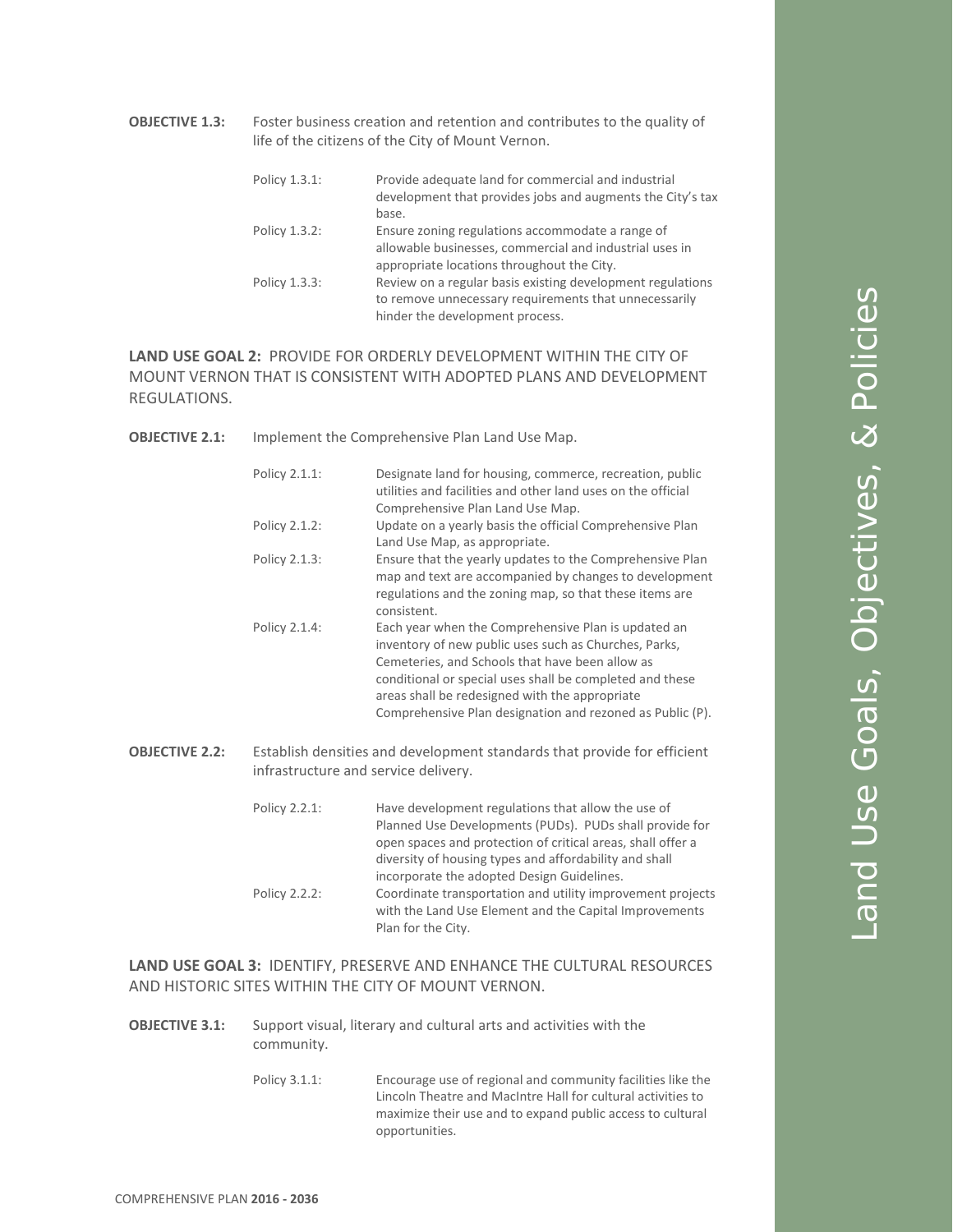**OBJECTIVE 1.3:** Foster business creation and retention and contributes to the quality of life of the citizens of the City of Mount Vernon.

| Policy 1.3.1: | Provide adequate land for commercial and industrial<br>development that provides jobs and augments the City's tax<br>base.                                |
|---------------|-----------------------------------------------------------------------------------------------------------------------------------------------------------|
| Policy 1.3.2: | Ensure zoning regulations accommodate a range of<br>allowable businesses, commercial and industrial uses in<br>appropriate locations throughout the City. |
| Policy 1.3.3: | Review on a regular basis existing development regulations<br>to remove unnecessary requirements that unnecessarily<br>hinder the development process.    |

**LAND USE GOAL 2:** PROVIDE FOR ORDERLY DEVELOPMENT WITHIN THE CITY OF MOUNT VERNON THAT IS CONSISTENT WITH ADOPTED PLANS AND DEVELOPMENT REGULATIONS.

**OBJECTIVE 2.1:** Implement the Comprehensive Plan Land Use Map.

|                       | Policy 2.1.1:                        | Designate land for housing, commerce, recreation, public<br>utilities and facilities and other land uses on the official<br>Comprehensive Plan Land Use Map.                                                                                                                                                                               |
|-----------------------|--------------------------------------|--------------------------------------------------------------------------------------------------------------------------------------------------------------------------------------------------------------------------------------------------------------------------------------------------------------------------------------------|
|                       | Policy 2.1.2:                        | Update on a yearly basis the official Comprehensive Plan<br>Land Use Map, as appropriate.                                                                                                                                                                                                                                                  |
|                       | Policy 2.1.3:                        | Ensure that the yearly updates to the Comprehensive Plan<br>map and text are accompanied by changes to development<br>regulations and the zoning map, so that these items are<br>consistent.                                                                                                                                               |
|                       | Policy 2.1.4:                        | Each year when the Comprehensive Plan is updated an<br>inventory of new public uses such as Churches, Parks,<br>Cemeteries, and Schools that have been allow as<br>conditional or special uses shall be completed and these<br>areas shall be redesigned with the appropriate<br>Comprehensive Plan designation and rezoned as Public (P). |
| <b>OBJECTIVE 2.2:</b> | infrastructure and service delivery. | Establish densities and development standards that provide for efficient                                                                                                                                                                                                                                                                   |
|                       | Policy 2.2.1:                        | Have development regulations that allow the use of<br>Planned Use Developments (PUDs). PUDs shall provide for<br>open spaces and protection of critical areas, shall offer a<br>diversity of housing types and affordability and shall<br>incorporate the adopted Design Guidelines.                                                       |
|                       | Policy 2.2.2:                        | Coordinate transportation and utility improvement projects<br>with the Land Use Element and the Capital Improvements                                                                                                                                                                                                                       |

**LAND USE GOAL 3:** IDENTIFY, PRESERVE AND ENHANCE THE CULTURAL RESOURCES AND HISTORIC SITES WITHIN THE CITY OF MOUNT VERNON.

Plan for the City.

- **OBJECTIVE 3.1:** Support visual, literary and cultural arts and activities with the community.
	- Policy 3.1.1: Encourage use of regional and community facilities like the Lincoln Theatre and MacIntre Hall for cultural activities to maximize their use and to expand public access to cultural opportunities.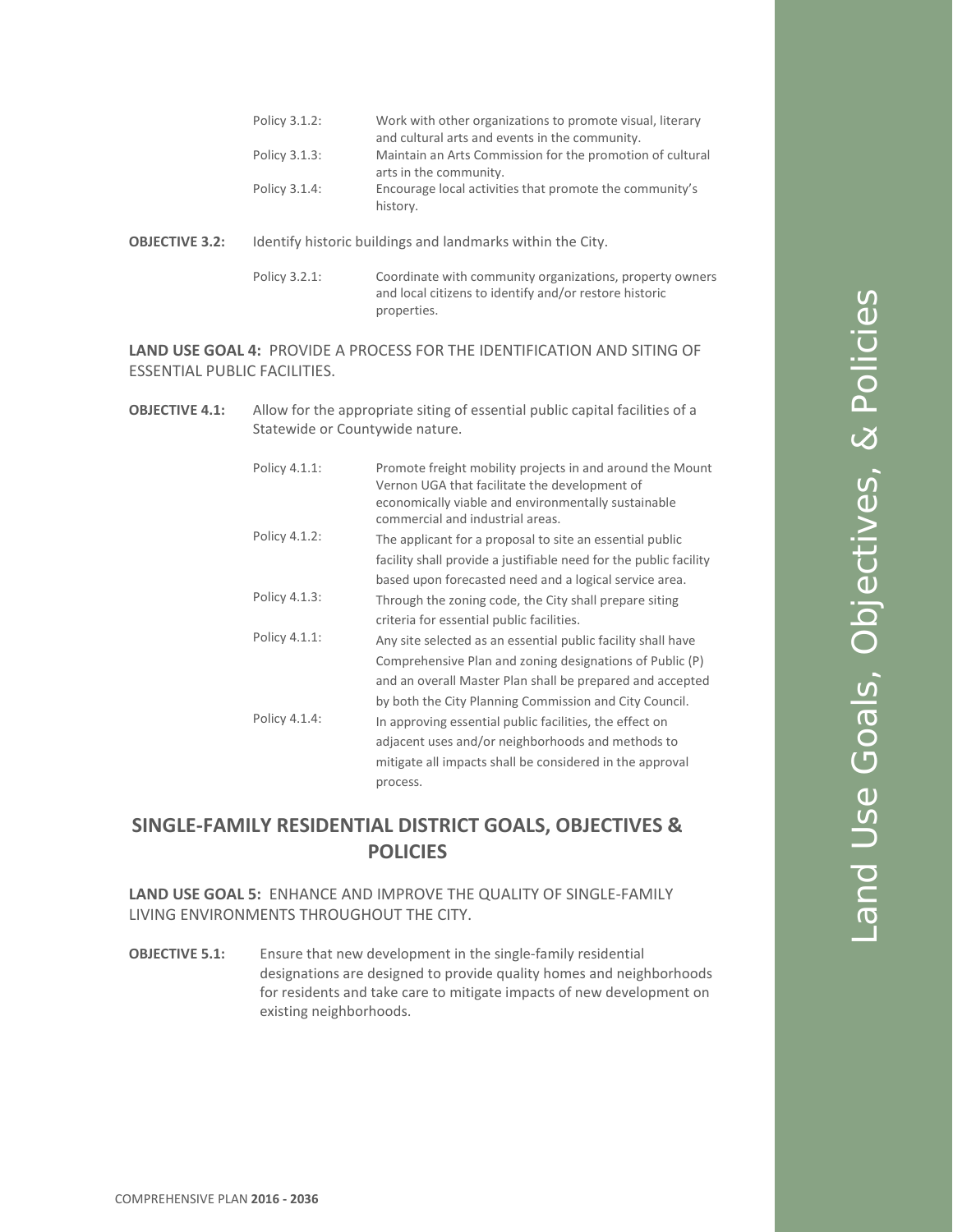- **OBJECTIVE 3.2:** Identify historic buildings and landmarks within the City.
	- Policy 3.2.1: Coordinate with community organizations, property owners and local citizens to identify and/or restore historic properties.

**LAND USE GOAL 4:** PROVIDE A PROCESS FOR THE IDENTIFICATION AND SITING OF ESSENTIAL PUBLIC FACILITIES.

**OBJECTIVE 4.1:** Allow for the appropriate siting of essential public capital facilities of a Statewide or Countywide nature.

| Policy 4.1.1: | Promote freight mobility projects in and around the Mount<br>Vernon UGA that facilitate the development of<br>economically viable and environmentally sustainable<br>commercial and industrial areas.                                           |
|---------------|-------------------------------------------------------------------------------------------------------------------------------------------------------------------------------------------------------------------------------------------------|
| Policy 4.1.2: | The applicant for a proposal to site an essential public<br>facility shall provide a justifiable need for the public facility<br>based upon forecasted need and a logical service area.                                                         |
| Policy 4.1.3: | Through the zoning code, the City shall prepare siting<br>criteria for essential public facilities.                                                                                                                                             |
| Policy 4.1.1: | Any site selected as an essential public facility shall have<br>Comprehensive Plan and zoning designations of Public (P)<br>and an overall Master Plan shall be prepared and accepted<br>by both the City Planning Commission and City Council. |
| Policy 4.1.4: | In approving essential public facilities, the effect on<br>adjacent uses and/or neighborhoods and methods to<br>mitigate all impacts shall be considered in the approval<br>process.                                                            |

# **SINGLE-FAMILY RESIDENTIAL DISTRICT GOALS, OBJECTIVES & POLICIES**

**LAND USE GOAL 5:** ENHANCE AND IMPROVE THE QUALITY OF SINGLE-FAMILY LIVING ENVIRONMENTS THROUGHOUT THE CITY.

**OBJECTIVE 5.1:** Ensure that new development in the single-family residential designations are designed to provide quality homes and neighborhoods for residents and take care to mitigate impacts of new development on existing neighborhoods.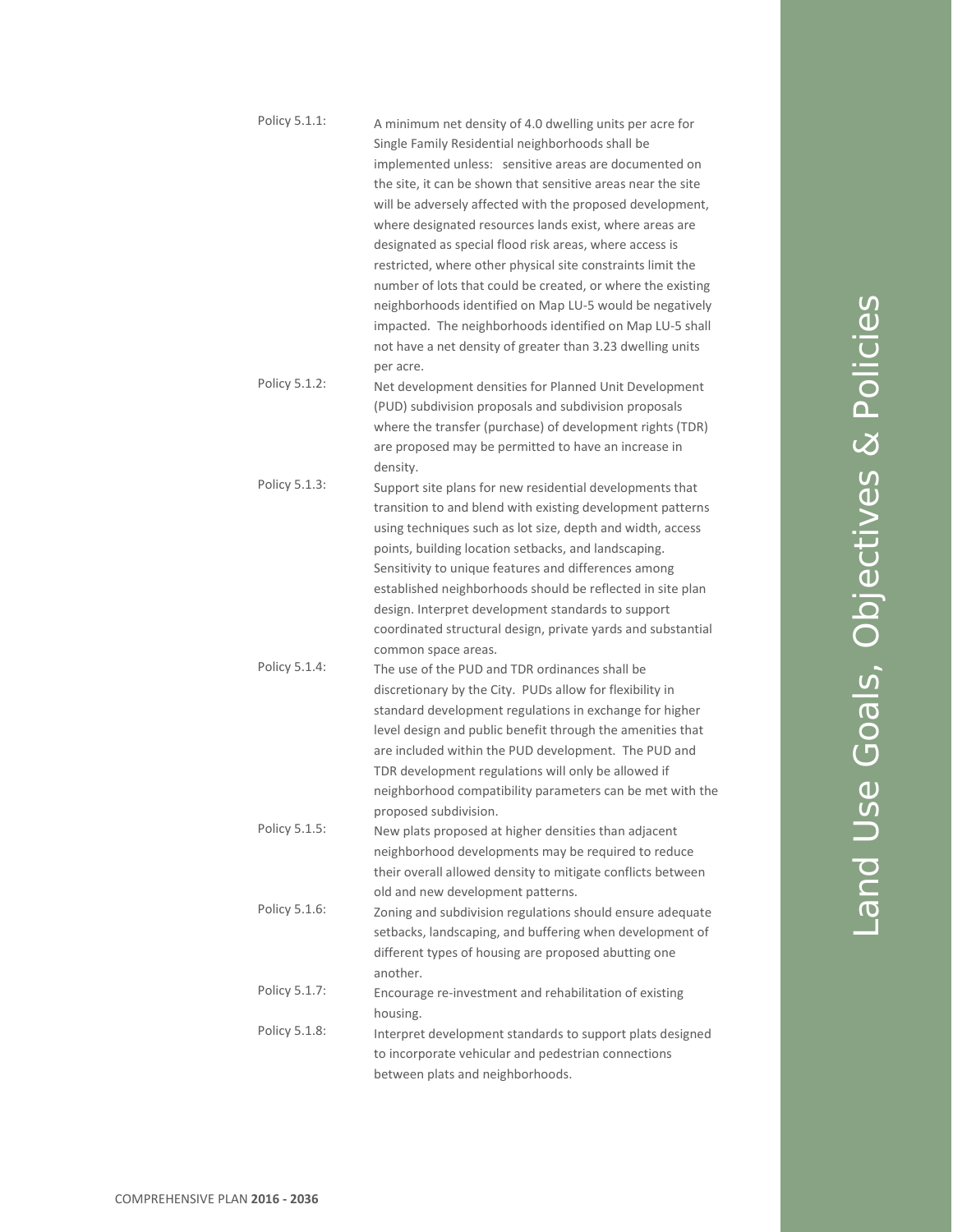| Policy 5.1.1: | A minimum net density of 4.0 dwelling units per acre for<br>Single Family Residential neighborhoods shall be<br>implemented unless: sensitive areas are documented on<br>the site, it can be shown that sensitive areas near the site<br>will be adversely affected with the proposed development,<br>where designated resources lands exist, where areas are<br>designated as special flood risk areas, where access is<br>restricted, where other physical site constraints limit the<br>number of lots that could be created, or where the existing<br>neighborhoods identified on Map LU-5 would be negatively<br>impacted. The neighborhoods identified on Map LU-5 shall<br>not have a net density of greater than 3.23 dwelling units<br>per acre. |
|---------------|-----------------------------------------------------------------------------------------------------------------------------------------------------------------------------------------------------------------------------------------------------------------------------------------------------------------------------------------------------------------------------------------------------------------------------------------------------------------------------------------------------------------------------------------------------------------------------------------------------------------------------------------------------------------------------------------------------------------------------------------------------------|
| Policy 5.1.2: | Net development densities for Planned Unit Development<br>(PUD) subdivision proposals and subdivision proposals<br>where the transfer (purchase) of development rights (TDR)<br>are proposed may be permitted to have an increase in<br>density.                                                                                                                                                                                                                                                                                                                                                                                                                                                                                                          |
| Policy 5.1.3: | Support site plans for new residential developments that<br>transition to and blend with existing development patterns<br>using techniques such as lot size, depth and width, access<br>points, building location setbacks, and landscaping.<br>Sensitivity to unique features and differences among<br>established neighborhoods should be reflected in site plan<br>design. Interpret development standards to support<br>coordinated structural design, private yards and substantial<br>common space areas.                                                                                                                                                                                                                                           |
| Policy 5.1.4: | The use of the PUD and TDR ordinances shall be<br>discretionary by the City. PUDs allow for flexibility in<br>standard development regulations in exchange for higher<br>level design and public benefit through the amenities that<br>are included within the PUD development. The PUD and<br>TDR development regulations will only be allowed if<br>neighborhood compatibility parameters can be met with the<br>proposed subdivision.                                                                                                                                                                                                                                                                                                                  |
| Policy 5.1.5: | New plats proposed at higher densities than adjacent<br>neighborhood developments may be required to reduce<br>their overall allowed density to mitigate conflicts between<br>old and new development patterns.                                                                                                                                                                                                                                                                                                                                                                                                                                                                                                                                           |
| Policy 5.1.6: | Zoning and subdivision regulations should ensure adequate<br>setbacks, landscaping, and buffering when development of<br>different types of housing are proposed abutting one<br>another.                                                                                                                                                                                                                                                                                                                                                                                                                                                                                                                                                                 |
| Policy 5.1.7: | Encourage re-investment and rehabilitation of existing<br>housing.                                                                                                                                                                                                                                                                                                                                                                                                                                                                                                                                                                                                                                                                                        |
| Policy 5.1.8: | Interpret development standards to support plats designed<br>to incorporate vehicular and pedestrian connections<br>between plats and neighborhoods.                                                                                                                                                                                                                                                                                                                                                                                                                                                                                                                                                                                                      |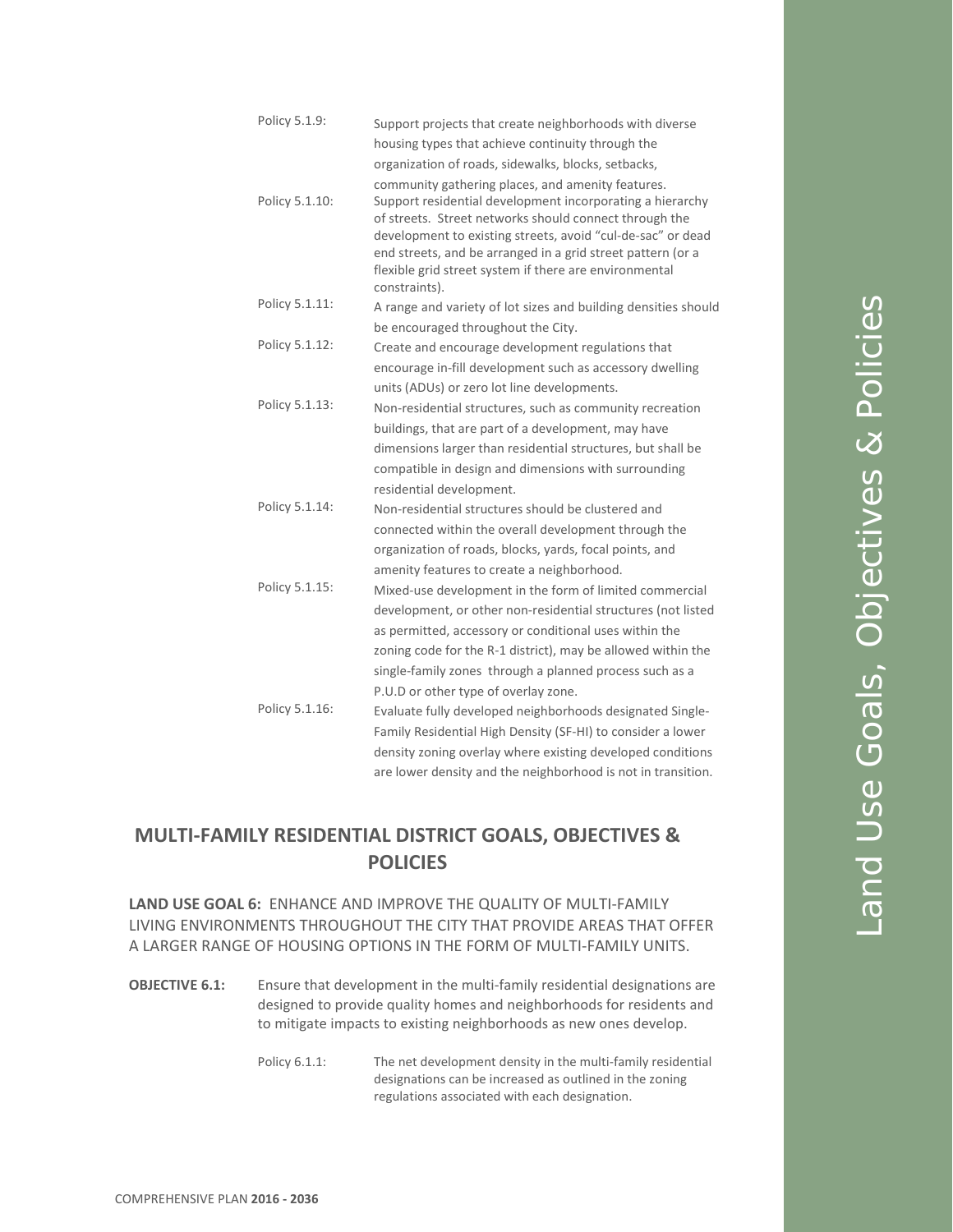| Policy 5.1.9:  | Support projects that create neighborhoods with diverse                                                                                                                                                                                                                                                                                                                           |
|----------------|-----------------------------------------------------------------------------------------------------------------------------------------------------------------------------------------------------------------------------------------------------------------------------------------------------------------------------------------------------------------------------------|
|                | housing types that achieve continuity through the                                                                                                                                                                                                                                                                                                                                 |
|                | organization of roads, sidewalks, blocks, setbacks,                                                                                                                                                                                                                                                                                                                               |
| Policy 5.1.10: | community gathering places, and amenity features.<br>Support residential development incorporating a hierarchy<br>of streets. Street networks should connect through the<br>development to existing streets, avoid "cul-de-sac" or dead<br>end streets, and be arranged in a grid street pattern (or a<br>flexible grid street system if there are environmental<br>constraints). |
| Policy 5.1.11: | A range and variety of lot sizes and building densities should                                                                                                                                                                                                                                                                                                                    |
|                | be encouraged throughout the City.                                                                                                                                                                                                                                                                                                                                                |
| Policy 5.1.12: | Create and encourage development regulations that                                                                                                                                                                                                                                                                                                                                 |
|                | encourage in-fill development such as accessory dwelling                                                                                                                                                                                                                                                                                                                          |
|                | units (ADUs) or zero lot line developments.                                                                                                                                                                                                                                                                                                                                       |
| Policy 5.1.13: | Non-residential structures, such as community recreation                                                                                                                                                                                                                                                                                                                          |
|                | buildings, that are part of a development, may have                                                                                                                                                                                                                                                                                                                               |
|                | dimensions larger than residential structures, but shall be                                                                                                                                                                                                                                                                                                                       |
|                | compatible in design and dimensions with surrounding                                                                                                                                                                                                                                                                                                                              |
|                | residential development.                                                                                                                                                                                                                                                                                                                                                          |
| Policy 5.1.14: | Non-residential structures should be clustered and                                                                                                                                                                                                                                                                                                                                |
|                | connected within the overall development through the                                                                                                                                                                                                                                                                                                                              |
|                | organization of roads, blocks, yards, focal points, and                                                                                                                                                                                                                                                                                                                           |
|                | amenity features to create a neighborhood.                                                                                                                                                                                                                                                                                                                                        |
| Policy 5.1.15: | Mixed-use development in the form of limited commercial                                                                                                                                                                                                                                                                                                                           |
|                | development, or other non-residential structures (not listed                                                                                                                                                                                                                                                                                                                      |
|                | as permitted, accessory or conditional uses within the                                                                                                                                                                                                                                                                                                                            |
|                | zoning code for the R-1 district), may be allowed within the                                                                                                                                                                                                                                                                                                                      |
|                | single-family zones through a planned process such as a                                                                                                                                                                                                                                                                                                                           |
|                | P.U.D or other type of overlay zone.                                                                                                                                                                                                                                                                                                                                              |
| Policy 5.1.16: | Evaluate fully developed neighborhoods designated Single-                                                                                                                                                                                                                                                                                                                         |
|                | Family Residential High Density (SF-HI) to consider a lower                                                                                                                                                                                                                                                                                                                       |
|                | density zoning overlay where existing developed conditions                                                                                                                                                                                                                                                                                                                        |
|                | are lower density and the neighborhood is not in transition.                                                                                                                                                                                                                                                                                                                      |

# **MULTI-FAMILY RESIDENTIAL DISTRICT GOALS, OBJECTIVES & POLICIES**

**LAND USE GOAL 6:** ENHANCE AND IMPROVE THE QUALITY OF MULTI-FAMILY LIVING ENVIRONMENTS THROUGHOUT THE CITY THAT PROVIDE AREAS THAT OFFER A LARGER RANGE OF HOUSING OPTIONS IN THE FORM OF MULTI-FAMILY UNITS.

- **OBJECTIVE 6.1:** Ensure that development in the multi-family residential designations are designed to provide quality homes and neighborhoods for residents and to mitigate impacts to existing neighborhoods as new ones develop.
	- Policy 6.1.1: The net development density in the multi-family residential designations can be increased as outlined in the zoning regulations associated with each designation.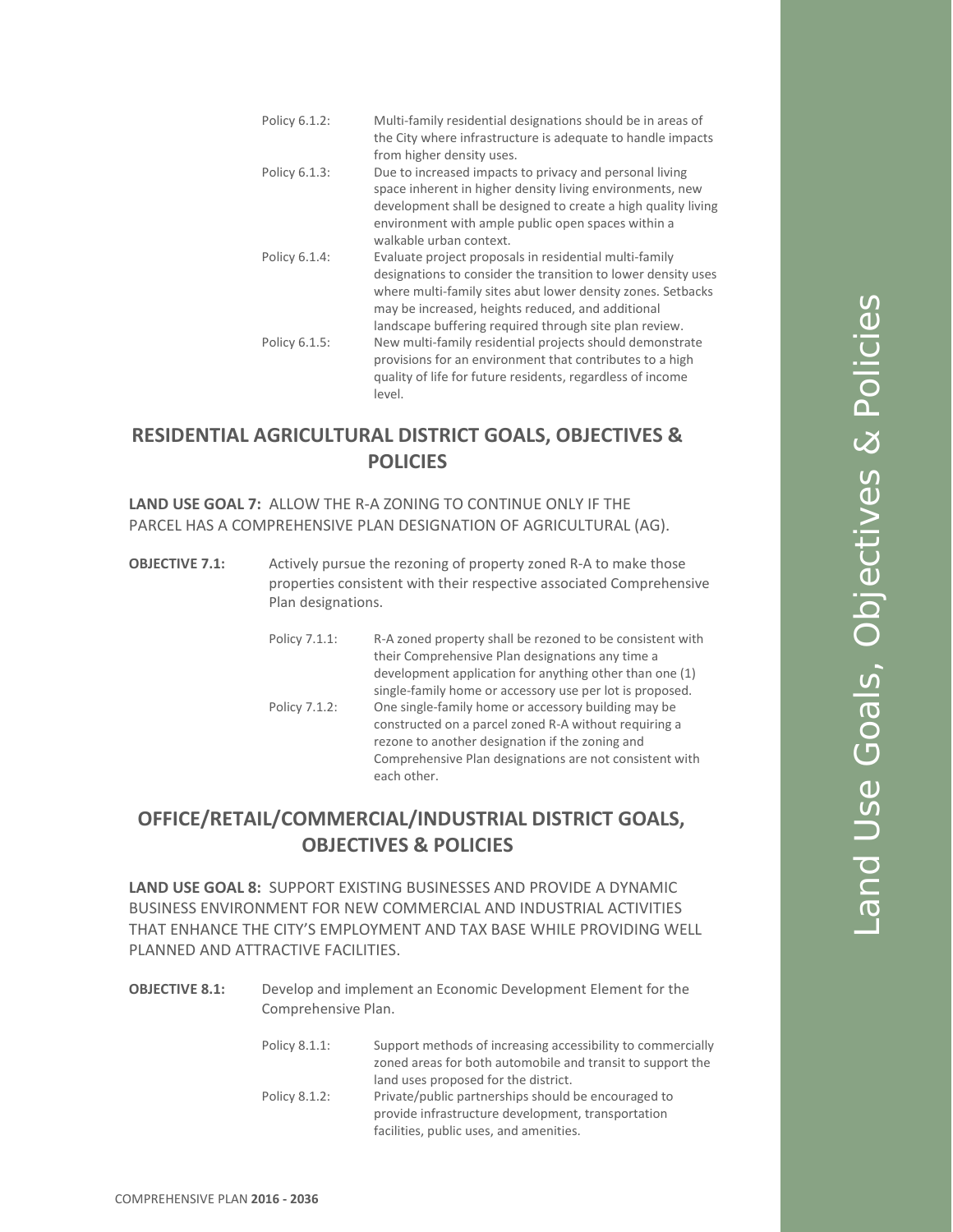Policy 6.1.2: Multi-family residential designations should be in areas of the City where infrastructure is adequate to handle impacts from higher density uses. Policy 6.1.3: Due to increased impacts to privacy and personal living space inherent in higher density living environments, new development shall be designed to create a high quality living environment with ample public open spaces within a walkable urban context. Policy 6.1.4: Evaluate project proposals in residential multi-family designations to consider the transition to lower density uses where multi-family sites abut lower density zones. Setbacks may be increased, heights reduced, and additional landscape buffering required through site plan review. Policy 6.1.5: New multi-family residential projects should demonstrate provisions for an environment that contributes to a high quality of life for future residents, regardless of income level.

# **RESIDENTIAL AGRICULTURAL DISTRICT GOALS, OBJECTIVES & POLICIES**

**LAND USE GOAL 7:** ALLOW THE R-A ZONING TO CONTINUE ONLY IF THE PARCEL HAS A COMPREHENSIVE PLAN DESIGNATION OF AGRICULTURAL (AG).

- **OBJECTIVE 7.1:** Actively pursue the rezoning of property zoned R-A to make those properties consistent with their respective associated Comprehensive Plan designations.
	- Policy 7.1.1: R-A zoned property shall be rezoned to be consistent with their Comprehensive Plan designations any time a development application for anything other than one (1) single-family home or accessory use per lot is proposed. Policy 7.1.2: One single-family home or accessory building may be constructed on a parcel zoned R-A without requiring a rezone to another designation if the zoning and Comprehensive Plan designations are not consistent with each other.

# **OFFICE/RETAIL/COMMERCIAL/INDUSTRIAL DISTRICT GOALS, OBJECTIVES & POLICIES**

**LAND USE GOAL 8:** SUPPORT EXISTING BUSINESSES AND PROVIDE A DYNAMIC BUSINESS ENVIRONMENT FOR NEW COMMERCIAL AND INDUSTRIAL ACTIVITIES THAT ENHANCE THE CITY'S EMPLOYMENT AND TAX BASE WHILE PROVIDING WELL PLANNED AND ATTRACTIVE FACILITIES.

**OBJECTIVE 8.1:** Develop and implement an Economic Development Element for the Comprehensive Plan.

| Policy 8.1.1: | Support methods of increasing accessibility to commercially<br>zoned areas for both automobile and transit to support the |
|---------------|---------------------------------------------------------------------------------------------------------------------------|
|               | land uses proposed for the district.                                                                                      |
| Policy 8.1.2: | Private/public partnerships should be encouraged to                                                                       |
|               | provide infrastructure development, transportation                                                                        |
|               | facilities, public uses, and amenities.                                                                                   |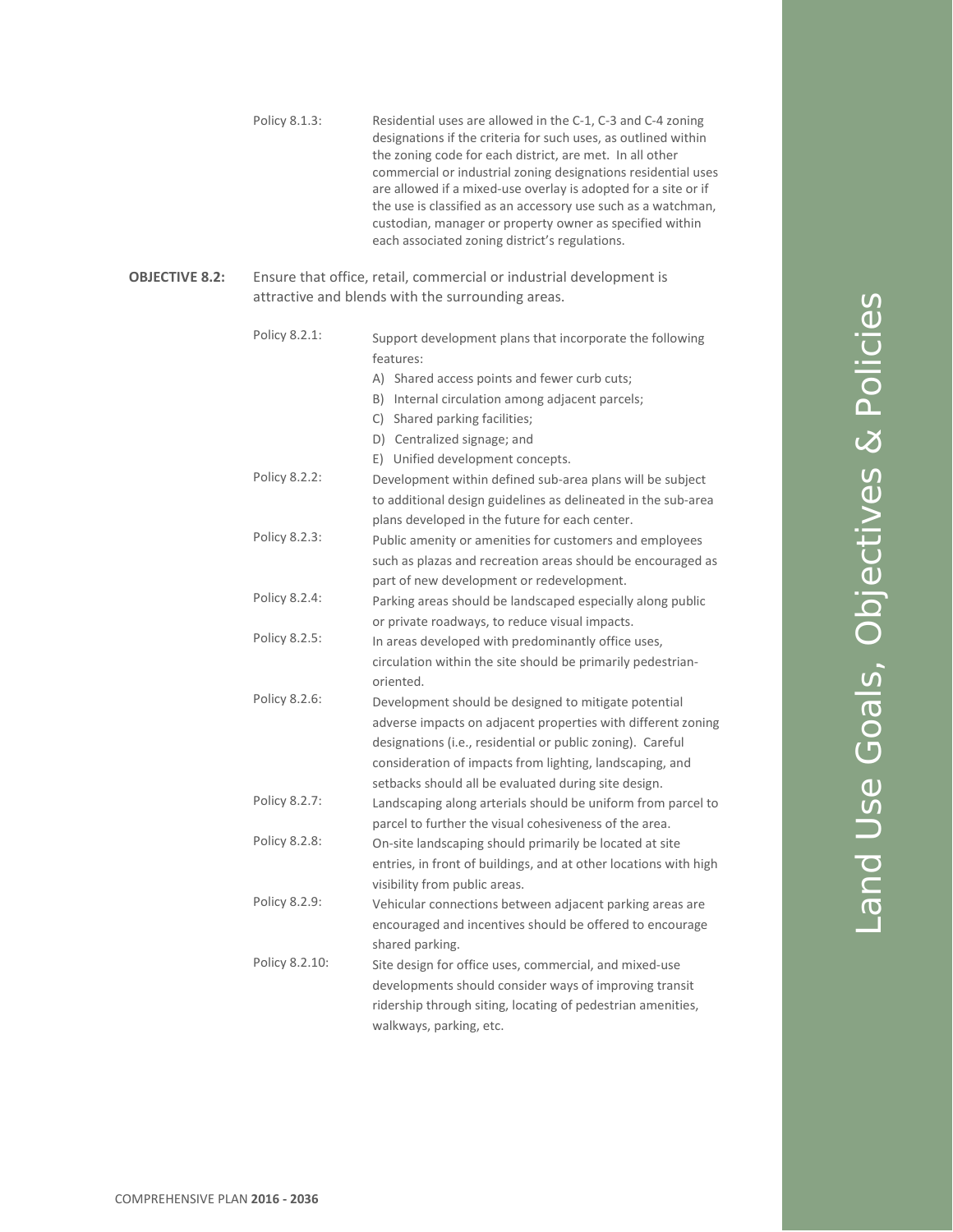|                       | Policy 8.1.3:  | Residential uses are allowed in the C-1, C-3 and C-4 zoning<br>designations if the criteria for such uses, as outlined within<br>the zoning code for each district, are met. In all other<br>commercial or industrial zoning designations residential uses<br>are allowed if a mixed-use overlay is adopted for a site or if<br>the use is classified as an accessory use such as a watchman,<br>custodian, manager or property owner as specified within<br>each associated zoning district's regulations. |
|-----------------------|----------------|-------------------------------------------------------------------------------------------------------------------------------------------------------------------------------------------------------------------------------------------------------------------------------------------------------------------------------------------------------------------------------------------------------------------------------------------------------------------------------------------------------------|
| <b>OBJECTIVE 8.2:</b> |                | Ensure that office, retail, commercial or industrial development is<br>attractive and blends with the surrounding areas.                                                                                                                                                                                                                                                                                                                                                                                    |
|                       | Policy 8.2.1:  | Support development plans that incorporate the following<br>features:                                                                                                                                                                                                                                                                                                                                                                                                                                       |
|                       |                | A) Shared access points and fewer curb cuts;                                                                                                                                                                                                                                                                                                                                                                                                                                                                |
|                       |                | B) Internal circulation among adjacent parcels;                                                                                                                                                                                                                                                                                                                                                                                                                                                             |
|                       |                | C) Shared parking facilities;                                                                                                                                                                                                                                                                                                                                                                                                                                                                               |
|                       |                | D) Centralized signage; and                                                                                                                                                                                                                                                                                                                                                                                                                                                                                 |
|                       |                | E) Unified development concepts.                                                                                                                                                                                                                                                                                                                                                                                                                                                                            |
|                       | Policy 8.2.2:  | Development within defined sub-area plans will be subject                                                                                                                                                                                                                                                                                                                                                                                                                                                   |
|                       |                | to additional design guidelines as delineated in the sub-area                                                                                                                                                                                                                                                                                                                                                                                                                                               |
|                       | Policy 8.2.3:  | plans developed in the future for each center.                                                                                                                                                                                                                                                                                                                                                                                                                                                              |
|                       |                | Public amenity or amenities for customers and employees                                                                                                                                                                                                                                                                                                                                                                                                                                                     |
|                       |                | such as plazas and recreation areas should be encouraged as                                                                                                                                                                                                                                                                                                                                                                                                                                                 |
|                       | Policy 8.2.4:  | part of new development or redevelopment.                                                                                                                                                                                                                                                                                                                                                                                                                                                                   |
|                       |                | Parking areas should be landscaped especially along public                                                                                                                                                                                                                                                                                                                                                                                                                                                  |
|                       | Policy 8.2.5:  | or private roadways, to reduce visual impacts.                                                                                                                                                                                                                                                                                                                                                                                                                                                              |
|                       |                | In areas developed with predominantly office uses,<br>circulation within the site should be primarily pedestrian-<br>oriented.                                                                                                                                                                                                                                                                                                                                                                              |
|                       | Policy 8.2.6:  | Development should be designed to mitigate potential                                                                                                                                                                                                                                                                                                                                                                                                                                                        |
|                       |                | adverse impacts on adjacent properties with different zoning                                                                                                                                                                                                                                                                                                                                                                                                                                                |
|                       |                | designations (i.e., residential or public zoning). Careful                                                                                                                                                                                                                                                                                                                                                                                                                                                  |
|                       |                | consideration of impacts from lighting, landscaping, and                                                                                                                                                                                                                                                                                                                                                                                                                                                    |
|                       |                | setbacks should all be evaluated during site design.                                                                                                                                                                                                                                                                                                                                                                                                                                                        |
|                       | Policy 8.2.7:  | Landscaping along arterials should be uniform from parcel to                                                                                                                                                                                                                                                                                                                                                                                                                                                |
|                       |                | parcel to further the visual cohesiveness of the area.                                                                                                                                                                                                                                                                                                                                                                                                                                                      |
|                       | Policy 8.2.8:  | On-site landscaping should primarily be located at site                                                                                                                                                                                                                                                                                                                                                                                                                                                     |
|                       |                | entries, in front of buildings, and at other locations with high                                                                                                                                                                                                                                                                                                                                                                                                                                            |
|                       |                | visibility from public areas.                                                                                                                                                                                                                                                                                                                                                                                                                                                                               |
|                       | Policy 8.2.9:  | Vehicular connections between adjacent parking areas are                                                                                                                                                                                                                                                                                                                                                                                                                                                    |
|                       |                | encouraged and incentives should be offered to encourage                                                                                                                                                                                                                                                                                                                                                                                                                                                    |
|                       |                | shared parking.                                                                                                                                                                                                                                                                                                                                                                                                                                                                                             |
|                       | Policy 8.2.10: | Site design for office uses, commercial, and mixed-use                                                                                                                                                                                                                                                                                                                                                                                                                                                      |
|                       |                | developments should consider ways of improving transit                                                                                                                                                                                                                                                                                                                                                                                                                                                      |
|                       |                | ridership through siting, locating of pedestrian amenities,                                                                                                                                                                                                                                                                                                                                                                                                                                                 |
|                       |                | walkways, parking, etc.                                                                                                                                                                                                                                                                                                                                                                                                                                                                                     |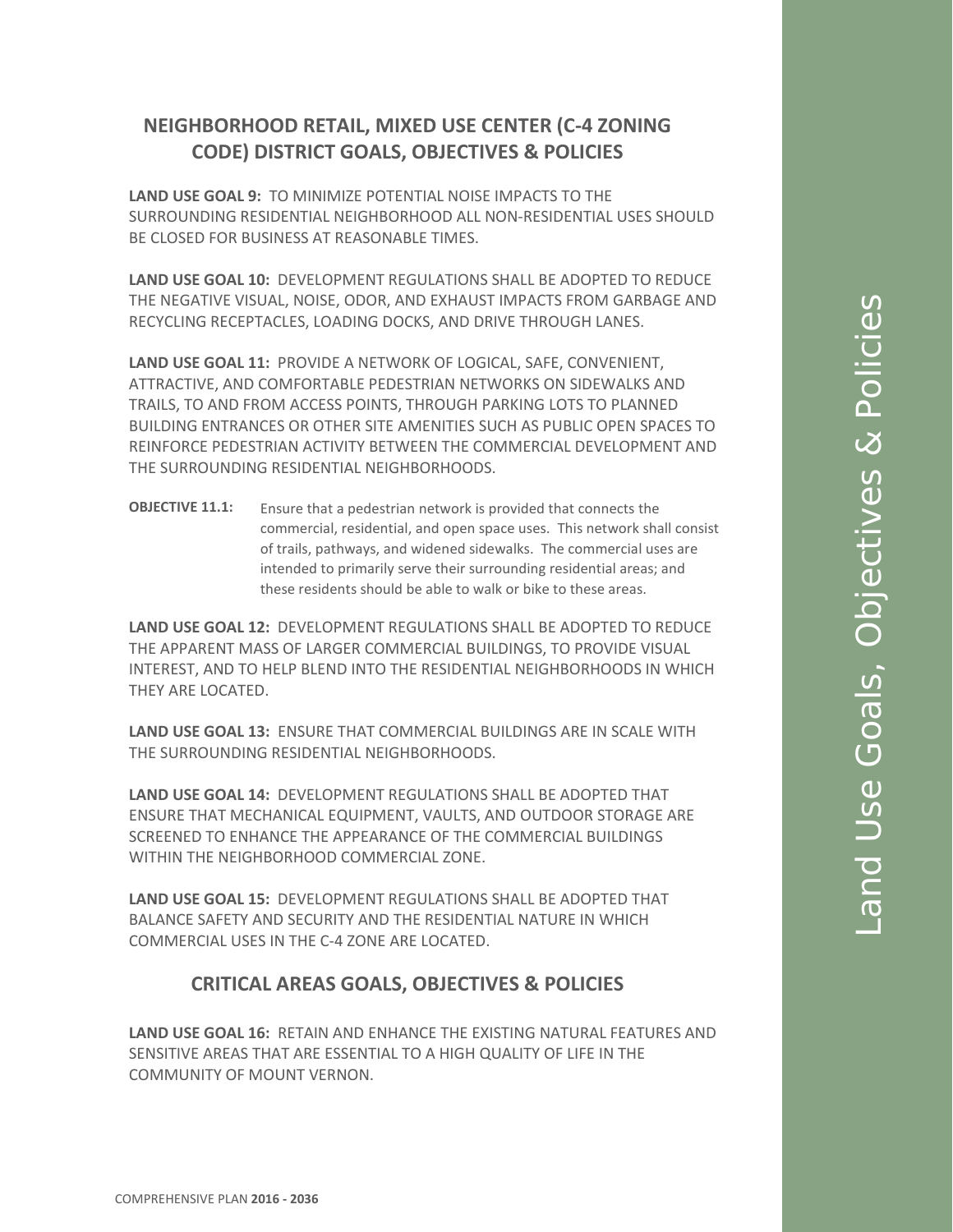# **NEIGHBORHOOD RETAIL, MIXED USE CENTER (C-4 ZONING CODE) DISTRICT GOALS, OBJECTIVES & POLICIES**

**LAND USE GOAL 9:** TO MINIMIZE POTENTIAL NOISE IMPACTS TO THE SURROUNDING RESIDENTIAL NEIGHBORHOOD ALL NON-RESIDENTIAL USES SHOULD BE CLOSED FOR BUSINESS AT REASONABLE TIMES.

**LAND USE GOAL 10:** DEVELOPMENT REGULATIONS SHALL BE ADOPTED TO REDUCE THE NEGATIVE VISUAL, NOISE, ODOR, AND EXHAUST IMPACTS FROM GARBAGE AND RECYCLING RECEPTACLES, LOADING DOCKS, AND DRIVE THROUGH LANES.

**LAND USE GOAL 11:** PROVIDE A NETWORK OF LOGICAL, SAFE, CONVENIENT, ATTRACTIVE, AND COMFORTABLE PEDESTRIAN NETWORKS ON SIDEWALKS AND TRAILS, TO AND FROM ACCESS POINTS, THROUGH PARKING LOTS TO PLANNED BUILDING ENTRANCES OR OTHER SITE AMENITIES SUCH AS PUBLIC OPEN SPACES TO REINFORCE PEDESTRIAN ACTIVITY BETWEEN THE COMMERCIAL DEVELOPMENT AND THE SURROUNDING RESIDENTIAL NEIGHBORHOODS.

**OBJECTIVE 11.1:** Ensure that a pedestrian network is provided that connects the commercial, residential, and open space uses. This network shall consist of trails, pathways, and widened sidewalks. The commercial uses are intended to primarily serve their surrounding residential areas; and these residents should be able to walk or bike to these areas.

**LAND USE GOAL 12:** DEVELOPMENT REGULATIONS SHALL BE ADOPTED TO REDUCE THE APPARENT MASS OF LARGER COMMERCIAL BUILDINGS, TO PROVIDE VISUAL INTEREST, AND TO HELP BLEND INTO THE RESIDENTIAL NEIGHBORHOODS IN WHICH THEY ARE LOCATED.

**LAND USE GOAL 13:** ENSURE THAT COMMERCIAL BUILDINGS ARE IN SCALE WITH THE SURROUNDING RESIDENTIAL NEIGHBORHOODS.

**LAND USE GOAL 14:** DEVELOPMENT REGULATIONS SHALL BE ADOPTED THAT ENSURE THAT MECHANICAL EQUIPMENT, VAULTS, AND OUTDOOR STORAGE ARE SCREENED TO ENHANCE THE APPEARANCE OF THE COMMERCIAL BUILDINGS WITHIN THE NEIGHBORHOOD COMMERCIAL ZONE.

**LAND USE GOAL 15:** DEVELOPMENT REGULATIONS SHALL BE ADOPTED THAT BALANCE SAFETY AND SECURITY AND THE RESIDENTIAL NATURE IN WHICH COMMERCIAL USES IN THE C-4 ZONE ARE LOCATED.

## **CRITICAL AREAS GOALS, OBJECTIVES & POLICIES**

**LAND USE GOAL 16:** RETAIN AND ENHANCE THE EXISTING NATURAL FEATURES AND SENSITIVE AREAS THAT ARE ESSENTIAL TO A HIGH QUALITY OF LIFE IN THE COMMUNITY OF MOUNT VERNON.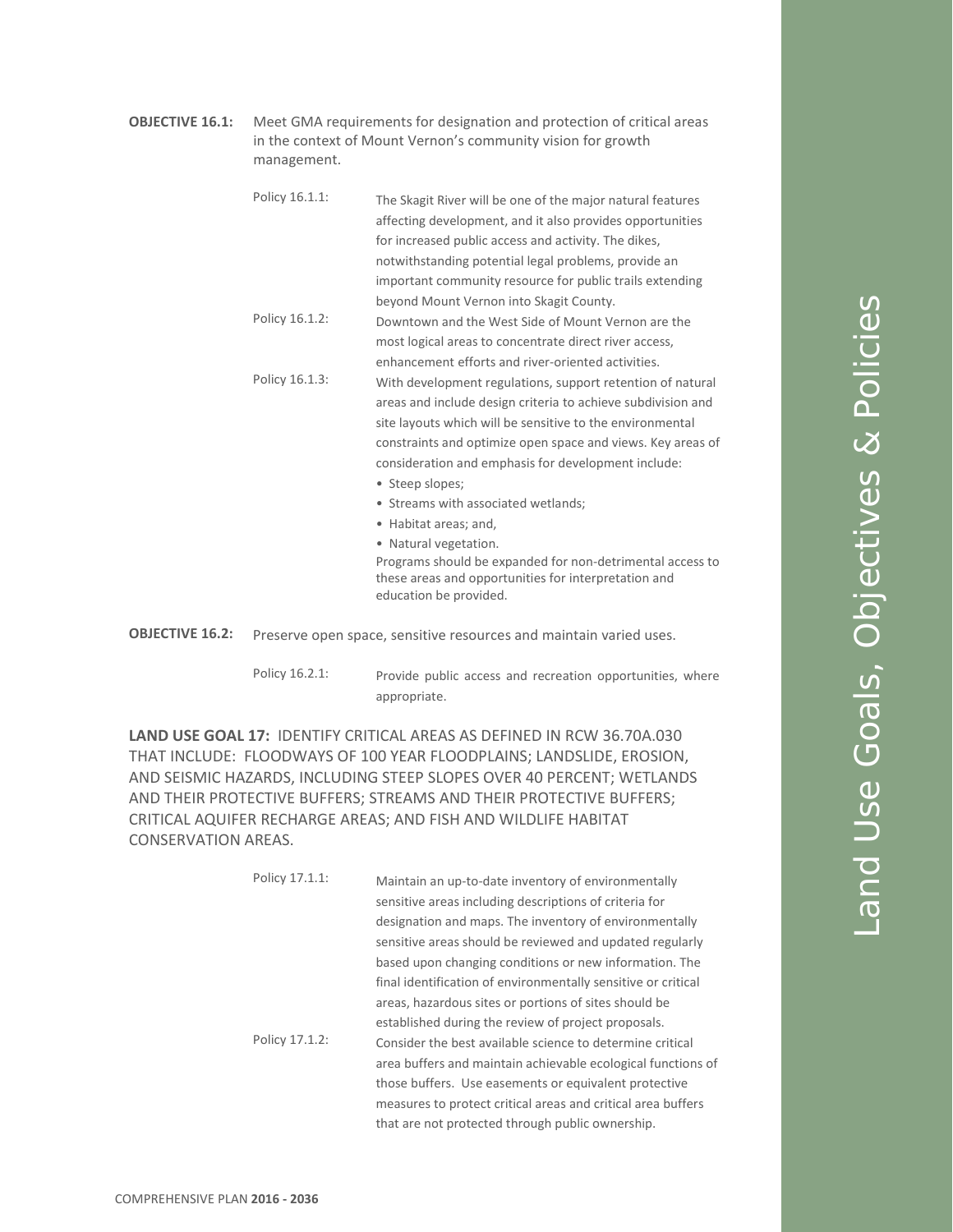**OBJECTIVE 16.1:** Meet GMA requirements for designation and protection of critical areas in the context of Mount Vernon's community vision for growth management.

| Policy 16.1.1: | The Skagit River will be one of the major natural features   |
|----------------|--------------------------------------------------------------|
|                | affecting development, and it also provides opportunities    |
|                | for increased public access and activity. The dikes,         |
|                | notwithstanding potential legal problems, provide an         |
|                | important community resource for public trails extending     |
|                | beyond Mount Vernon into Skagit County.                      |
| Policy 16.1.2: | Downtown and the West Side of Mount Vernon are the           |
|                | most logical areas to concentrate direct river access,       |
|                | enhancement efforts and river-oriented activities.           |
| Policy 16.1.3: | With development regulations, support retention of natural   |
|                | areas and include design criteria to achieve subdivision and |
|                | site layouts which will be sensitive to the environmental    |
|                | constraints and optimize open space and views. Key areas of  |
|                | consideration and emphasis for development include:          |
|                | • Steep slopes;                                              |
|                | • Streams with associated wetlands;                          |
|                | • Habitat areas; and,                                        |
|                | • Natural vegetation.                                        |

Programs should be expanded for non-detrimental access to these areas and opportunities for interpretation and education be provided.

- **OBJECTIVE 16.2:** Preserve open space, sensitive resources and maintain varied uses.
	- Policy 16.2.1: Provide public access and recreation opportunities, where appropriate.

**LAND USE GOAL 17:** IDENTIFY CRITICAL AREAS AS DEFINED IN RCW 36.70A.030 THAT INCLUDE: FLOODWAYS OF 100 YEAR FLOODPLAINS; LANDSLIDE, EROSION, AND SEISMIC HAZARDS, INCLUDING STEEP SLOPES OVER 40 PERCENT; WETLANDS AND THEIR PROTECTIVE BUFFERS; STREAMS AND THEIR PROTECTIVE BUFFERS; CRITICAL AQUIFER RECHARGE AREAS; AND FISH AND WILDLIFE HABITAT CONSERVATION AREAS.

|  | Policy 17.1.1: | Maintain an up-to-date inventory of environmentally           |
|--|----------------|---------------------------------------------------------------|
|  |                | sensitive areas including descriptions of criteria for        |
|  |                | designation and maps. The inventory of environmentally        |
|  |                | sensitive areas should be reviewed and updated regularly      |
|  |                | based upon changing conditions or new information. The        |
|  |                | final identification of environmentally sensitive or critical |
|  |                | areas, hazardous sites or portions of sites should be         |
|  |                | established during the review of project proposals.           |
|  | Policy 17.1.2: | Consider the best available science to determine critical     |
|  |                | area buffers and maintain achievable ecological functions of  |
|  |                | those buffers. Use easements or equivalent protective         |
|  |                | measures to protect critical areas and critical area buffers  |
|  |                | that are not protected through public ownership.              |
|  |                |                                                               |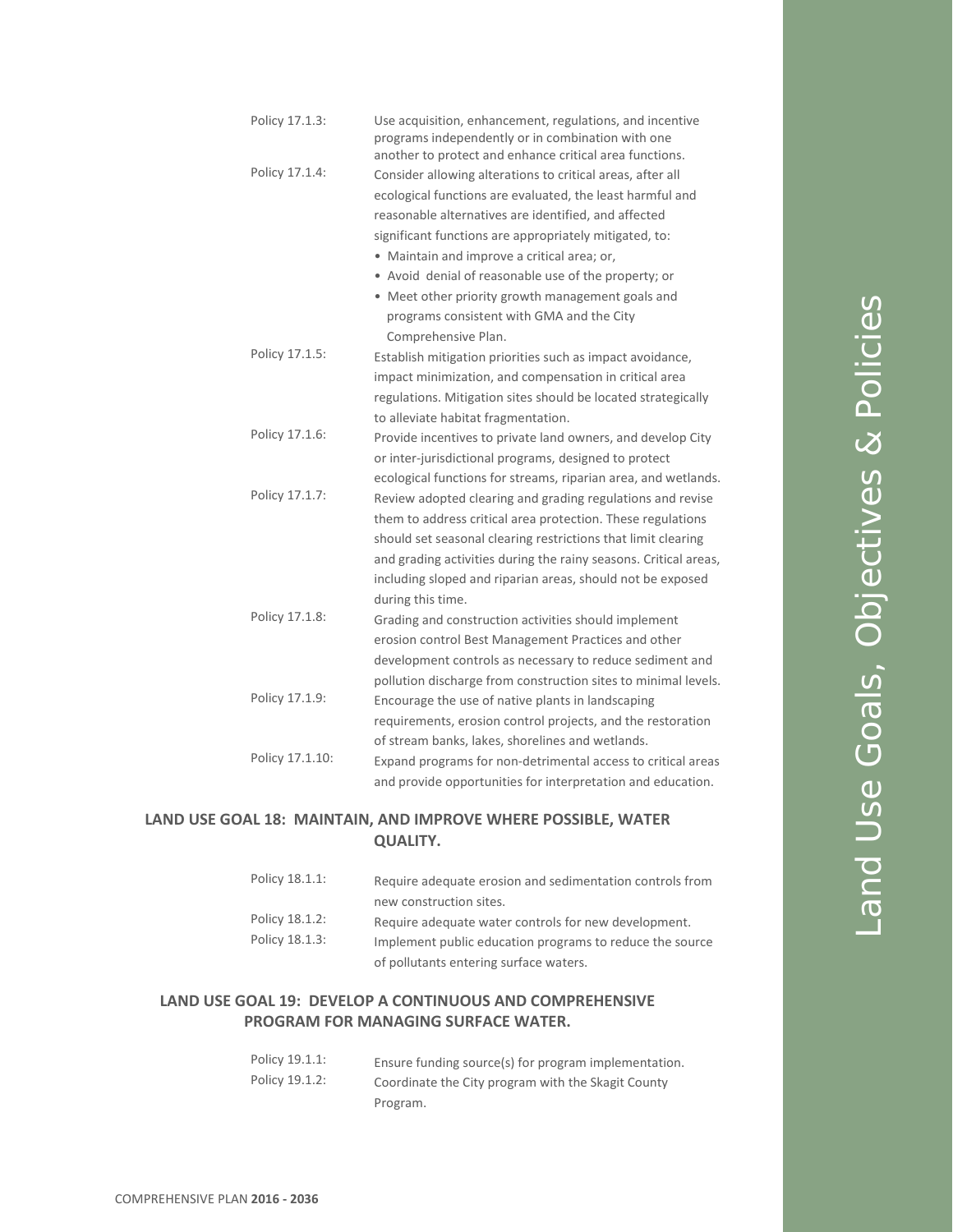| Policy 17.1.3:  | Use acquisition, enhancement, regulations, and incentive<br>programs independently or in combination with one<br>another to protect and enhance critical area functions. |
|-----------------|--------------------------------------------------------------------------------------------------------------------------------------------------------------------------|
| Policy 17.1.4:  | Consider allowing alterations to critical areas, after all                                                                                                               |
|                 | ecological functions are evaluated, the least harmful and                                                                                                                |
|                 | reasonable alternatives are identified, and affected                                                                                                                     |
|                 | significant functions are appropriately mitigated, to:                                                                                                                   |
|                 | • Maintain and improve a critical area; or,                                                                                                                              |
|                 | • Avoid denial of reasonable use of the property; or                                                                                                                     |
|                 | • Meet other priority growth management goals and                                                                                                                        |
|                 | programs consistent with GMA and the City                                                                                                                                |
|                 | Comprehensive Plan.                                                                                                                                                      |
| Policy 17.1.5:  | Establish mitigation priorities such as impact avoidance,                                                                                                                |
|                 | impact minimization, and compensation in critical area                                                                                                                   |
|                 | regulations. Mitigation sites should be located strategically                                                                                                            |
|                 | to alleviate habitat fragmentation.                                                                                                                                      |
| Policy 17.1.6:  | Provide incentives to private land owners, and develop City                                                                                                              |
|                 | or inter-jurisdictional programs, designed to protect                                                                                                                    |
|                 | ecological functions for streams, riparian area, and wetlands.                                                                                                           |
| Policy 17.1.7:  | Review adopted clearing and grading regulations and revise                                                                                                               |
|                 | them to address critical area protection. These regulations                                                                                                              |
|                 | should set seasonal clearing restrictions that limit clearing                                                                                                            |
|                 | and grading activities during the rainy seasons. Critical areas,                                                                                                         |
|                 | including sloped and riparian areas, should not be exposed                                                                                                               |
|                 | during this time.                                                                                                                                                        |
| Policy 17.1.8:  | Grading and construction activities should implement                                                                                                                     |
|                 | erosion control Best Management Practices and other                                                                                                                      |
|                 | development controls as necessary to reduce sediment and                                                                                                                 |
|                 | pollution discharge from construction sites to minimal levels.                                                                                                           |
| Policy 17.1.9:  | Encourage the use of native plants in landscaping                                                                                                                        |
|                 | requirements, erosion control projects, and the restoration                                                                                                              |
|                 | of stream banks, lakes, shorelines and wetlands.                                                                                                                         |
| Policy 17.1.10: | Expand programs for non-detrimental access to critical areas                                                                                                             |
|                 | and provide opportunities for interpretation and education.                                                                                                              |
|                 |                                                                                                                                                                          |

#### **LAND USE GOAL 18: MAINTAIN, AND IMPROVE WHERE POSSIBLE, WATER QUALITY.**

| Policy 18.1.1: | Require adequate erosion and sedimentation controls from |
|----------------|----------------------------------------------------------|
|                | new construction sites.                                  |
| Policy 18.1.2: | Require adequate water controls for new development.     |
| Policy 18.1.3: | Implement public education programs to reduce the source |
|                | of pollutants entering surface waters.                   |

## **LAND USE GOAL 19: DEVELOP A CONTINUOUS AND COMPREHENSIVE PROGRAM FOR MANAGING SURFACE WATER.**

| Policy 19.1.1: | Ensure funding source(s) for program implementation. |
|----------------|------------------------------------------------------|
| Policy 19.1.2: | Coordinate the City program with the Skagit County   |
|                | Program.                                             |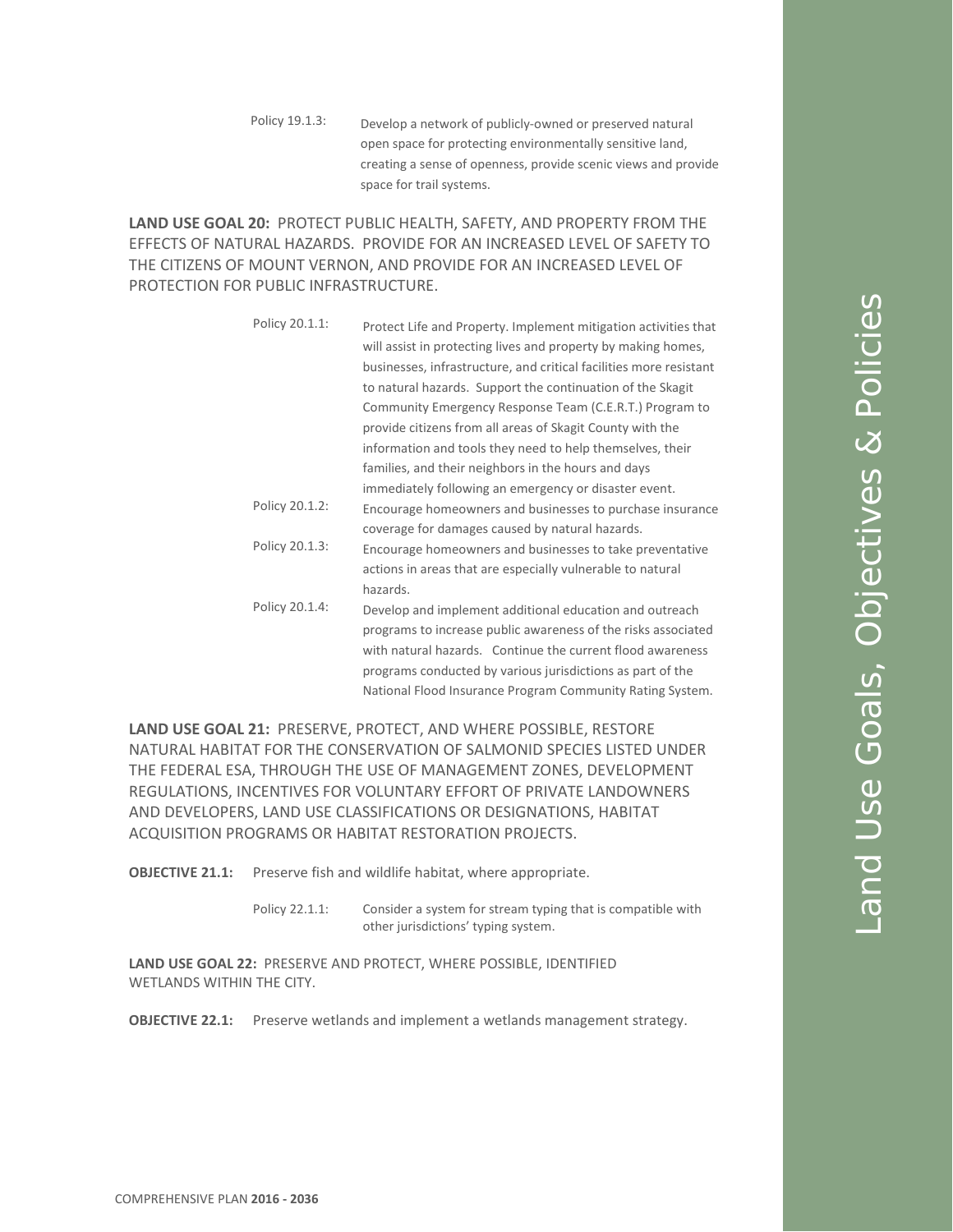Policy 19.1.3: Develop a network of publicly-owned or preserved natural open space for protecting environmentally sensitive land, creating a sense of openness, provide scenic views and provide space for trail systems.

**LAND USE GOAL 20:** PROTECT PUBLIC HEALTH, SAFETY, AND PROPERTY FROM THE EFFECTS OF NATURAL HAZARDS. PROVIDE FOR AN INCREASED LEVEL OF SAFETY TO THE CITIZENS OF MOUNT VERNON, AND PROVIDE FOR AN INCREASED LEVEL OF PROTECTION FOR PUBLIC INFRASTRUCTURE.

> Policy 20.1.1: Protect Life and Property. Implement mitigation activities that will assist in protecting lives and property by making homes, businesses, infrastructure, and critical facilities more resistant to natural hazards. Support the continuation of the Skagit Community Emergency Response Team (C.E.R.T.) Program to provide citizens from all areas of Skagit County with the information and tools they need to help themselves, their families, and their neighbors in the hours and days immediately following an emergency or disaster event. Policy 20.1.2: Encourage homeowners and businesses to purchase insurance coverage for damages caused by natural hazards. Policy 20.1.3: Encourage homeowners and businesses to take preventative actions in areas that are especially vulnerable to natural hazards. Policy 20.1.4: Develop and implement additional education and outreach programs to increase public awareness of the risks associated with natural hazards. Continue the current flood awareness programs conducted by various jurisdictions as part of the National Flood Insurance Program Community Rating System.

**LAND USE GOAL 21:** PRESERVE, PROTECT, AND WHERE POSSIBLE, RESTORE NATURAL HABITAT FOR THE CONSERVATION OF SALMONID SPECIES LISTED UNDER THE FEDERAL ESA, THROUGH THE USE OF MANAGEMENT ZONES, DEVELOPMENT REGULATIONS, INCENTIVES FOR VOLUNTARY EFFORT OF PRIVATE LANDOWNERS AND DEVELOPERS, LAND USE CLASSIFICATIONS OR DESIGNATIONS, HABITAT ACQUISITION PROGRAMS OR HABITAT RESTORATION PROJECTS.

**OBJECTIVE 21.1:** Preserve fish and wildlife habitat, where appropriate.

Policy 22.1.1: Consider a system for stream typing that is compatible with other jurisdictions' typing system.

**LAND USE GOAL 22:** PRESERVE AND PROTECT, WHERE POSSIBLE, IDENTIFIED WETLANDS WITHIN THE CITY.

**OBJECTIVE 22.1:** Preserve wetlands and implement a wetlands management strategy.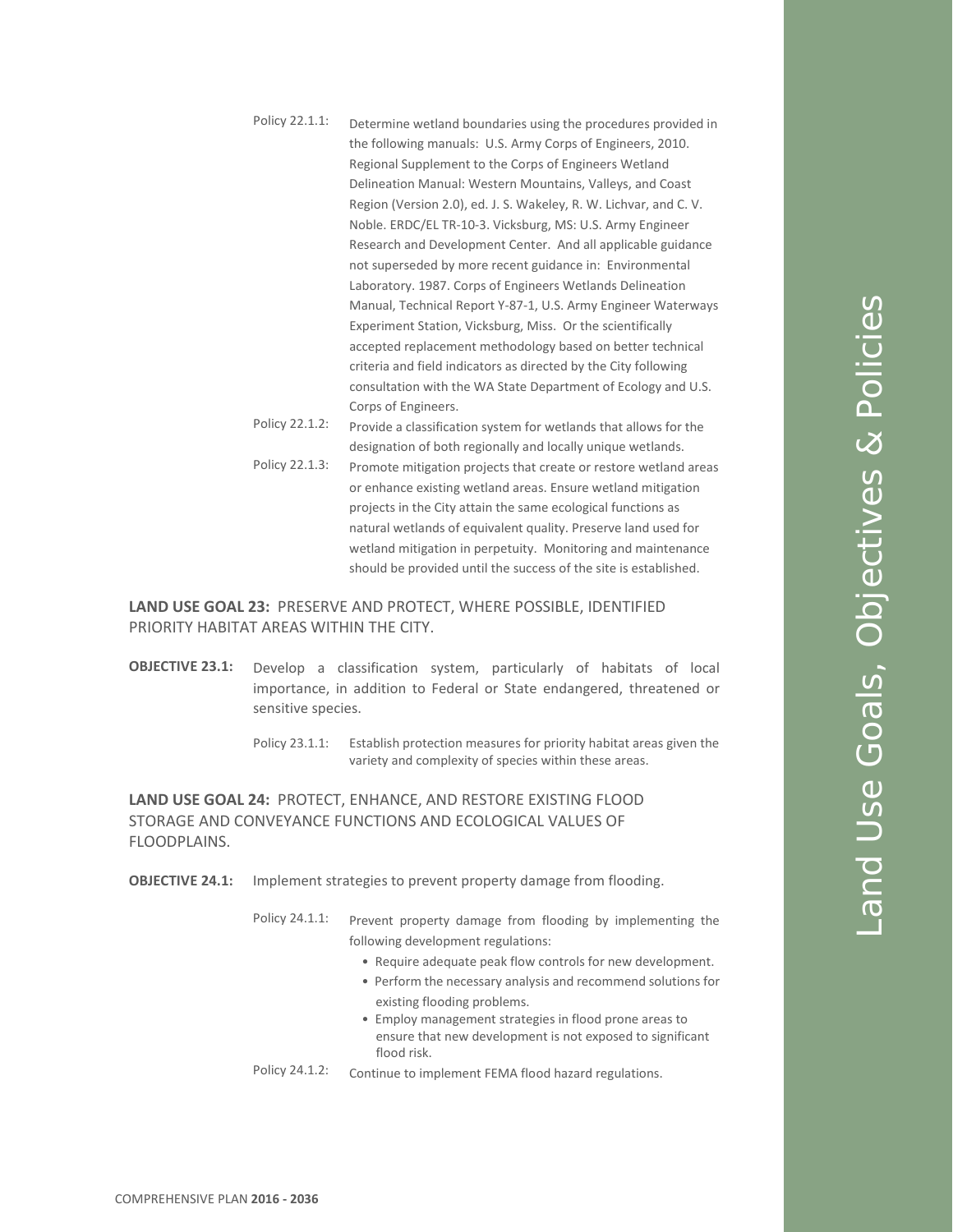| Policy 22.1.1: | Determine wetland boundaries using the procedures provided in     |
|----------------|-------------------------------------------------------------------|
|                | the following manuals: U.S. Army Corps of Engineers, 2010.        |
|                | Regional Supplement to the Corps of Engineers Wetland             |
|                | Delineation Manual: Western Mountains, Valleys, and Coast         |
|                | Region (Version 2.0), ed. J. S. Wakeley, R. W. Lichvar, and C. V. |
|                | Noble. ERDC/EL TR-10-3. Vicksburg, MS: U.S. Army Engineer         |
|                | Research and Development Center. And all applicable guidance      |
|                | not superseded by more recent guidance in: Environmental          |
|                | Laboratory. 1987. Corps of Engineers Wetlands Delineation         |
|                | Manual, Technical Report Y-87-1, U.S. Army Engineer Waterways     |
|                | Experiment Station, Vicksburg, Miss. Or the scientifically        |
|                | accepted replacement methodology based on better technical        |
|                | criteria and field indicators as directed by the City following   |
|                | consultation with the WA State Department of Ecology and U.S.     |
|                | Corps of Engineers.                                               |
| Policy 22.1.2: | Provide a classification system for wetlands that allows for the  |
|                | designation of both regionally and locally unique wetlands.       |
| Policy 22.1.3: | Promote mitigation projects that create or restore wetland areas  |
|                | or enhance existing wetland areas. Ensure wetland mitigation      |
|                | projects in the City attain the same ecological functions as      |
|                | natural wetlands of equivalent quality. Preserve land used for    |
|                | wetland mitigation in perpetuity. Monitoring and maintenance      |

**LAND USE GOAL 23:** PRESERVE AND PROTECT, WHERE POSSIBLE, IDENTIFIED PRIORITY HABITAT AREAS WITHIN THE CITY.

- **OBJECTIVE 23.1:** Develop a classification system, particularly of habitats of local importance, in addition to Federal or State endangered, threatened or sensitive species.
	- Policy 23.1.1: Establish protection measures for priority habitat areas given the variety and complexity of species within these areas.

should be provided until the success of the site is established.

**LAND USE GOAL 24:** PROTECT, ENHANCE, AND RESTORE EXISTING FLOOD STORAGE AND CONVEYANCE FUNCTIONS AND ECOLOGICAL VALUES OF FLOODPLAINS.

**OBJECTIVE 24.1:** Implement strategies to prevent property damage from flooding.

Policy 24.1.1: Prevent property damage from flooding by implementing the following development regulations:

- Require adequate peak flow controls for new development.
- Perform the necessary analysis and recommend solutions for existing flooding problems.
- Employ management strategies in flood prone areas to ensure that new development is not exposed to significant flood risk.
- Policy 24.1.2: Continue to implement FEMA flood hazard regulations.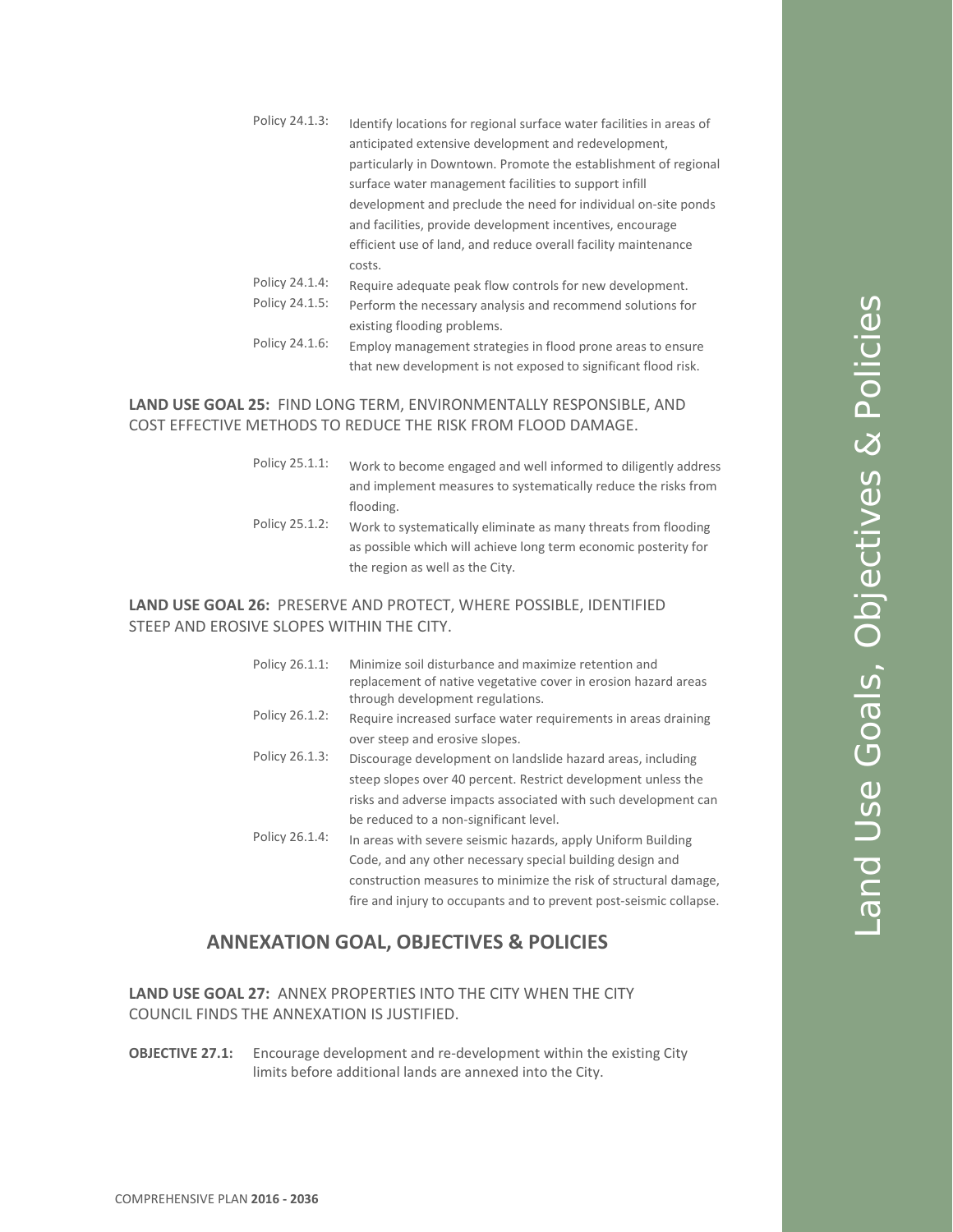- Policy 24.1.3: Identify locations for regional surface water facilities in areas of anticipated extensive development and redevelopment, particularly in Downtown. Promote the establishment of regional surface water management facilities to support infill development and preclude the need for individual on-site ponds and facilities, provide development incentives, encourage efficient use of land, and reduce overall facility maintenance costs.
- Policy 24.1.4: Require adequate peak flow controls for new development. Policy 24.1.5: Perform the necessary analysis and recommend solutions for existing flooding problems.
- Policy 24.1.6: Employ management strategies in flood prone areas to ensure that new development is not exposed to significant flood risk.

### **LAND USE GOAL 25:** FIND LONG TERM, ENVIRONMENTALLY RESPONSIBLE, AND COST EFFECTIVE METHODS TO REDUCE THE RISK FROM FLOOD DAMAGE.

| Policy 25.1.1: | Work to become engaged and well informed to diligently address  |
|----------------|-----------------------------------------------------------------|
|                | and implement measures to systematically reduce the risks from  |
|                | flooding.                                                       |
| Policy 25.1.2: | Work to systematically eliminate as many threats from flooding  |
|                | as possible which will achieve long term economic posterity for |
|                | the region as well as the City.                                 |

#### **LAND USE GOAL 26:** PRESERVE AND PROTECT, WHERE POSSIBLE, IDENTIFIED STEEP AND EROSIVE SLOPES WITHIN THE CITY.

| Policy 26.1.1: | Minimize soil disturbance and maximize retention and<br>replacement of native vegetative cover in erosion hazard areas<br>through development regulations. |
|----------------|------------------------------------------------------------------------------------------------------------------------------------------------------------|
| Policy 26.1.2: | Require increased surface water requirements in areas draining                                                                                             |
|                | over steep and erosive slopes.                                                                                                                             |
| Policy 26.1.3: | Discourage development on landslide hazard areas, including                                                                                                |
|                | steep slopes over 40 percent. Restrict development unless the                                                                                              |
|                | risks and adverse impacts associated with such development can                                                                                             |
|                | be reduced to a non-significant level.                                                                                                                     |
| Policy 26.1.4: | In areas with severe seismic hazards, apply Uniform Building                                                                                               |
|                | Code, and any other necessary special building design and                                                                                                  |
|                | construction measures to minimize the risk of structural damage,                                                                                           |
|                | fire and injury to occupants and to prevent post-seismic collapse.                                                                                         |

## **ANNEXATION GOAL, OBJECTIVES & POLICIES**

#### **LAND USE GOAL 27:** ANNEX PROPERTIES INTO THE CITY WHEN THE CITY COUNCIL FINDS THE ANNEXATION IS JUSTIFIED.

**OBJECTIVE 27.1:** Encourage development and re-development within the existing City limits before additional lands are annexed into the City.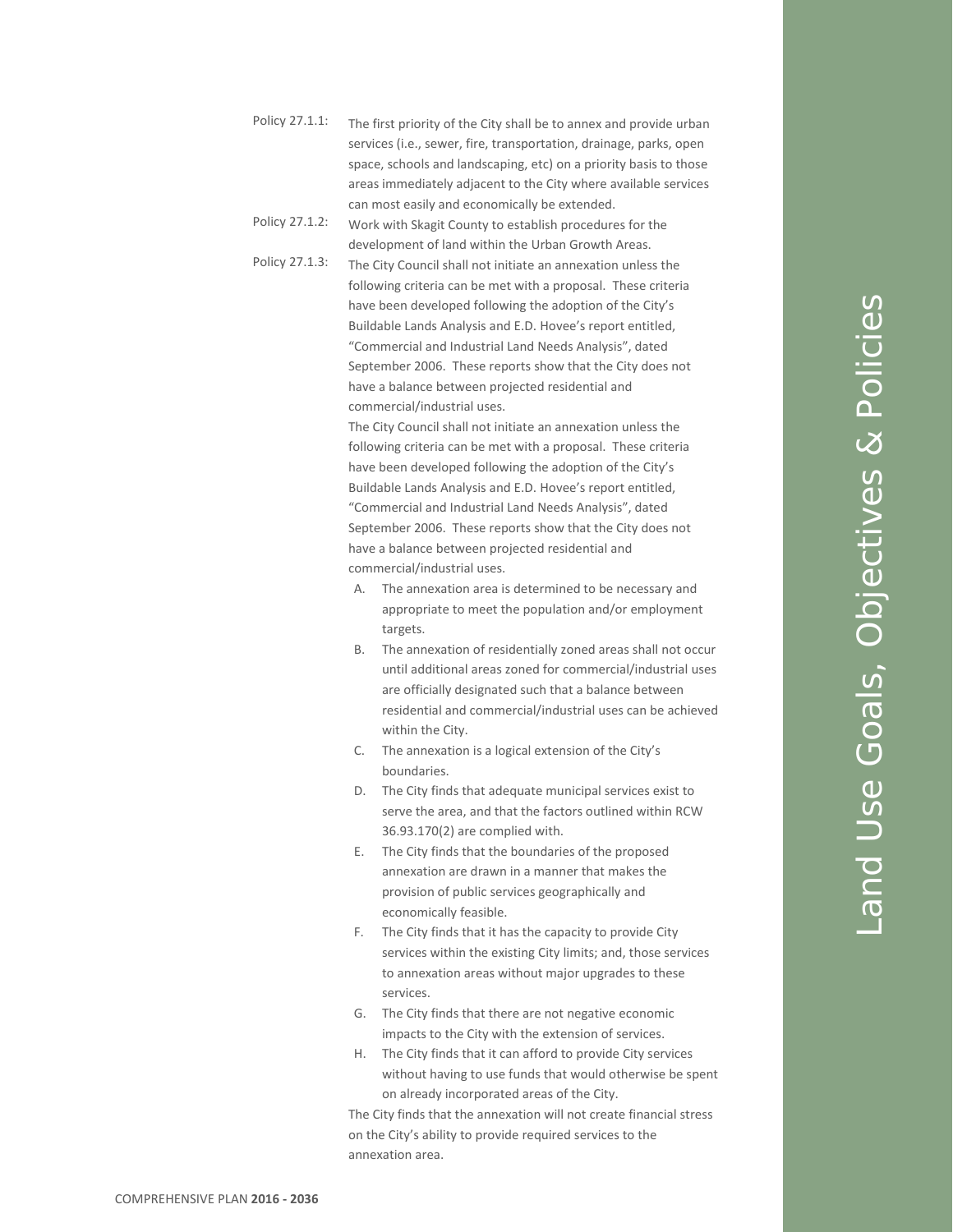- Policy 27.1.1: The first priority of the City shall be to annex and provide urban services (i.e., sewer, fire, transportation, drainage, parks, open space, schools and landscaping, etc) on a priority basis to those areas immediately adjacent to the City where available services can most easily and economically be extended.
- Policy 27.1.2: Work with Skagit County to establish procedures for the development of land within the Urban Growth Areas.
	- Policy 27.1.3: The City Council shall not initiate an annexation unless the following criteria can be met with a proposal. These criteria have been developed following the adoption of the City's Buildable Lands Analysis and E.D. Hovee's report entitled, "Commercial and Industrial Land Needs Analysis", dated September 2006. These reports show that the City does not have a balance between projected residential and commercial/industrial uses.

The City Council shall not initiate an annexation unless the following criteria can be met with a proposal. These criteria have been developed following the adoption of the City's Buildable Lands Analysis and E.D. Hovee's report entitled, "Commercial and Industrial Land Needs Analysis", dated September 2006. These reports show that the City does not have a balance between projected residential and commercial/industrial uses.

- A. The annexation area is determined to be necessary and appropriate to meet the population and/or employment targets.
- B. The annexation of residentially zoned areas shall not occur until additional areas zoned for commercial/industrial uses are officially designated such that a balance between residential and commercial/industrial uses can be achieved within the City.
- C. The annexation is a logical extension of the City's boundaries.
- D. The City finds that adequate municipal services exist to serve the area, and that the factors outlined within RCW 36.93.170(2) are complied with.
- E. The City finds that the boundaries of the proposed annexation are drawn in a manner that makes the provision of public services geographically and economically feasible.
- F. The City finds that it has the capacity to provide City services within the existing City limits; and, those services to annexation areas without major upgrades to these services.
- G. The City finds that there are not negative economic impacts to the City with the extension of services.
- H. The City finds that it can afford to provide City services without having to use funds that would otherwise be spent on already incorporated areas of the City.

The City finds that the annexation will not create financial stress on the City's ability to provide required services to the annexation area.